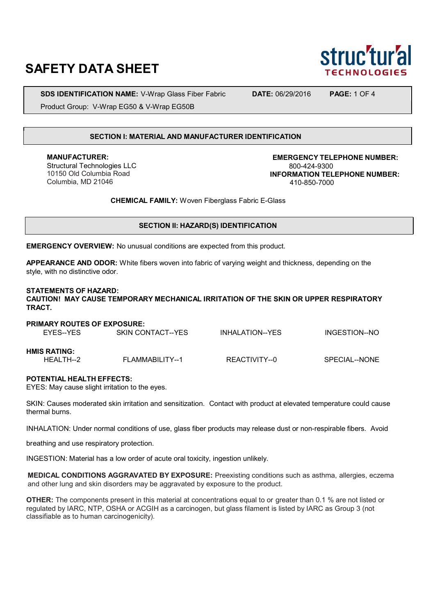# **SAFETY DATA SHEET**

**SDS IDENTIFICATION NAME:** V-Wrap Glass Fiber Fabric **DATE:** 06/29/2016 **PAGE:** 1 OF 4

Product Group: V-Wrap EG50 & V-Wrap EG50B

#### **SECTION I: MATERIAL AND MANUFACTURER IDENTIFICATION**

**MANUFACTURER:** Structural Technologies LLC 10150 Old Columbia Road Columbia, MD 21046

**EMERGENCY TELEPHONE NUMBER:** 800-424-9300 **INFORMATION TELEPHONE NUMBER:** 410-850-7000

**CHEMICAL FAMILY:** Woven Fiberglass Fabric E-Glass

## **SECTION II: HAZARD(S) IDENTIFICATION**

**EMERGENCY OVERVIEW:** No unusual conditions are expected from this product.

**APPEARANCE AND ODOR:** White fibers woven into fabric of varying weight and thickness, depending on the style, with no distinctive odor.

#### **STATEMENTS OF HAZARD:**

**CAUTION! MAY CAUSE TEMPORARY MECHANICAL IRRITATION OF THE SKIN OR UPPER RESPIRATORY TRACT.**

| <b>PRIMARY ROUTES OF EXPOSURE:</b> |                   |                 |               |  |  |  |
|------------------------------------|-------------------|-----------------|---------------|--|--|--|
| FYFS--YFS                          | SKIN CONTACT--YES | INHALATION--YES | INGESTION--NO |  |  |  |
|                                    |                   |                 |               |  |  |  |
| <b>HMIS RATING:</b>                |                   |                 |               |  |  |  |
| HFAI TH--2                         | FLAMMABILITY--1   | REACTIVITY--0   | SPECIAL--NONE |  |  |  |
|                                    |                   |                 |               |  |  |  |

#### **POTENTIAL HEALTH EFFECTS:**

EYES: May cause slight irritation to the eyes.

SKIN: Causes moderated skin irritation and sensitization. Contact with product at elevated temperature could cause thermal burns.

INHALATION: Under normal conditions of use, glass fiber products may release dust or non-respirable fibers. Avoid

breathing and use respiratory protection.

INGESTION: Material has a low order of acute oral toxicity, ingestion unlikely.

**MEDICAL CONDITIONS AGGRAVATED BY EXPOSURE:** Preexisting conditions such as asthma, allergies, eczema and other lung and skin disorders may be aggravated by exposure to the product.

**OTHER:** The components present in this material at concentrations equal to or greater than 0.1 % are not listed or regulated by IARC, NTP, OSHA or ACGIH as a carcinogen, but glass filament is listed by IARC as Group 3 (not classifiable as to human carcinogenicity).

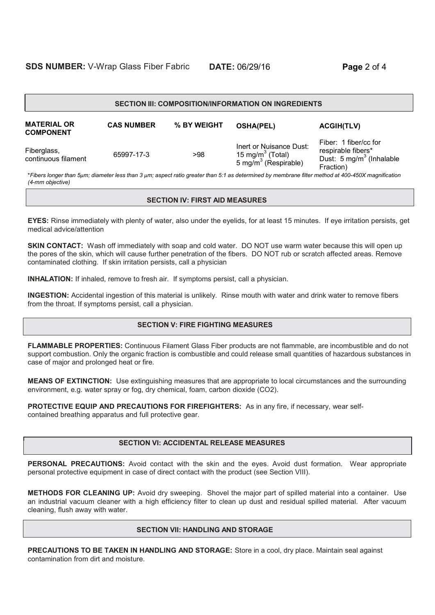| <b>DATE: 06/29/16</b> |
|-----------------------|
|                       |

| <b>SECTION III: COMPOSITION/INFORMATION ON INGREDIENTS</b> |                   |             |                                                                                    |                                                                                                  |  |  |
|------------------------------------------------------------|-------------------|-------------|------------------------------------------------------------------------------------|--------------------------------------------------------------------------------------------------|--|--|
| <b>MATERIAL OR</b><br><b>COMPONENT</b>                     | <b>CAS NUMBER</b> | % BY WEIGHT | <b>OSHA(PEL)</b>                                                                   | <b>ACGIH(TLV)</b>                                                                                |  |  |
| Fiberglass,<br>continuous filament                         | 65997-17-3        | >98         | Inert or Nuisance Dust:<br>15 mg/m $3$ (Total)<br>5 mg/m <sup>3</sup> (Respirable) | Fiber: 1 fiber/cc for<br>respirable fibers*<br>Dust: 5 mg/m <sup>3</sup> (Inhalable<br>Fraction) |  |  |

\**Fibers longer than 5μm; diameter less than 3 μm; aspect ratio greater than 5:1 as determined by membrane filter method at 400-450X magnification (4-mm objective)*

#### **SECTION IV: FIRST AID MEASURES**

**EYES:** Rinse immediately with plenty of water, also under the eyelids, for at least 15 minutes. If eye irritation persists, get medical advice/attention

**SKIN CONTACT:** Wash off immediately with soap and cold water. DO NOT use warm water because this will open up the pores of the skin, which will cause further penetration of the fibers. DO NOT rub or scratch affected areas. Remove contaminated clothing. If skin irritation persists, call a physician

**INHALATION:** If inhaled, remove to fresh air. If symptoms persist, call a physician.

**INGESTION:** Accidental ingestion of this material is unlikely. Rinse mouth with water and drink water to remove fibers from the throat. If symptoms persist, call a physician.

# **SECTION V: FIRE FIGHTING MEASURES**

**FLAMMABLE PROPERTIES:** Continuous Filament Glass Fiber products are not flammable, are incombustible and do not support combustion. Only the organic fraction is combustible and could release small quantities of hazardous substances in case of major and prolonged heat or fire.

**MEANS OF EXTINCTION:** Use extinguishing measures that are appropriate to local circumstances and the surrounding environment, e.g. water spray or fog, dry chemical, foam, carbon dioxide (CO2).

**PROTECTIVE EQUIP AND PRECAUTIONS FOR FIREFIGHTERS:** As in any fire, if necessary, wear selfcontained breathing apparatus and full protective gear.

# **SECTION VI: ACCIDENTAL RELEASE MEASURES**

**PERSONAL PRECAUTIONS:** Avoid contact with the skin and the eyes. Avoid dust formation. Wear appropriate personal protective equipment in case of direct contact with the product (see Section VIII).

**METHODS FOR CLEANING UP:** Avoid dry sweeping. Shovel the major part of spilled material into a container. Use an industrial vacuum cleaner with a high efficiency filter to clean up dust and residual spilled material. After vacuum cleaning, flush away with water.

#### **SECTION VII: HANDLING AND STORAGE**

**PRECAUTIONS TO BE TAKEN IN HANDLING AND STORAGE:** Store in a cool, dry place. Maintain seal against contamination from dirt and moisture.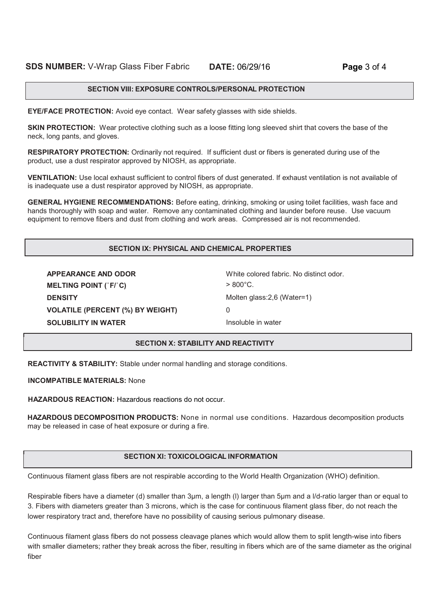#### **SECTION VIII: EXPOSURE CONTROLS/PERSONAL PROTECTION**

**EYE/FACE PROTECTION:** Avoid eye contact. Wear safety glasses with side shields.

**SKIN PROTECTION:** Wear protective clothing such as a loose fitting long sleeved shirt that covers the base of the neck, long pants, and gloves.

**RESPIRATORY PROTECTION:** Ordinarily not required. If sufficient dust or fibers is generated during use of the product, use a dust respirator approved by NIOSH, as appropriate.

**VENTILATION:** Use local exhaust sufficient to control fibers of dust generated. If exhaust ventilation is not available of is inadequate use a dust respirator approved by NIOSH, as appropriate.

**GENERAL HYGIENE RECOMMENDATIONS:** Before eating, drinking, smoking or using toilet facilities, wash face and hands thoroughly with soap and water. Remove any contaminated clothing and launder before reuse. Use vacuum equipment to remove fibers and dust from clothing and work areas. Compressed air is not recommended.

## **SECTION IX: PHYSICAL AND CHEMICAL PROPERTIES**

**APPEARANCE AND ODOR** White colored fabric. No distinct odor. **MELTING POINT (**˚**F/**˚**C)** > 800°C. **DENSITY** Molten glass:2,6 (Water=1) **VOLATILE (PERCENT (%) BY WEIGHT)** 0 **SOLUBILITY IN WATER Insoluble in water** 

#### **SECTION X: STABILITY AND REACTIVITY**

**REACTIVITY & STABILITY:** Stable under normal handling and storage conditions.

**INCOMPATIBLE MATERIALS:** None

**HAZARDOUS REACTION:** Hazardous reactions do not occur.

**HAZARDOUS DECOMPOSITION PRODUCTS:** None in normal use conditions. Hazardous decomposition products may be released in case of heat exposure or during a fire.

## **SECTION XI: TOXICOLOGICAL INFORMATION**

Continuous filament glass fibers are not respirable according to the World Health Organization (WHO) definition.

Respirable fibers have a diameter (d) smaller than 3μm, a length (l) larger than 5μm and a l/d-ratio larger than or equal to 3. Fibers with diameters greater than 3 microns, which is the case for continuous filament glass fiber, do not reach the lower respiratory tract and, therefore have no possibility of causing serious pulmonary disease.

Continuous filament glass fibers do not possess cleavage planes which would allow them to split length-wise into fibers with smaller diameters; rather they break across the fiber, resulting in fibers which are of the same diameter as the original fiber